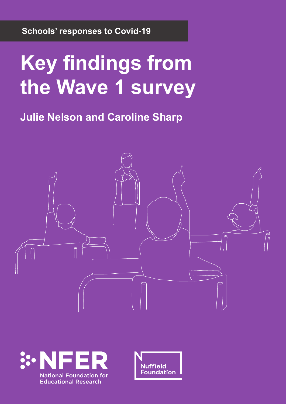**Schools' responses to Covid-19**

# **Key findings from the Wave 1 survey**

**Julie Nelson and Caroline Sharp**





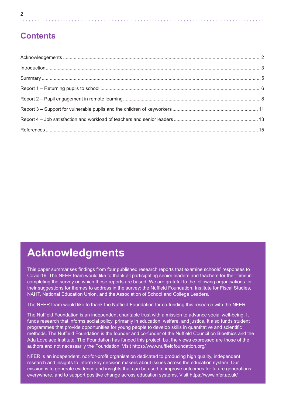| v<br>ı<br>š<br>I<br>. . |
|-------------------------|
|                         |

# **Contents**

# **Acknowledgments**

This paper summarises findings from four published research reports that examine schools' responses to Covid-19. The NFER team would like to thank all participating senior leaders and teachers for their time in completing the survey on which these reports are based. We are grateful to the following organisations for their suggestions for themes to address in the survey: the Nuffield Foundation, Institute for Fiscal Studies, NAHT, National Education Union, and the Association of School and College Leaders.

The NFER team would like to thank the Nuffield Foundation for co-funding this research with the NFER.

The Nuffield Foundation is an independent charitable trust with a mission to advance social well-being. It funds research that informs social policy, primarily in education, welfare, and justice. It also funds student programmes that provide opportunities for young people to develop skills in quantitative and scientific methods. The Nuffield Foundation is the founder and co-funder of the Nuffield Council on Bioethics and the Ada Lovelace Institute. The Foundation has funded this project, but the views expressed are those of the authors and not necessarily the Foundation. Visit https://www.nuffieldfoundation.org/

NFER is an independent, not-for-profit organisation dedicated to producing high quality, independent research and insights to inform key decision makers about issues across the education system. Our mission is to generate evidence and insights that can be used to improve outcomes for future generations everywhere, and to support positive change across education systems. Visit https://www.nfer.ac.uk/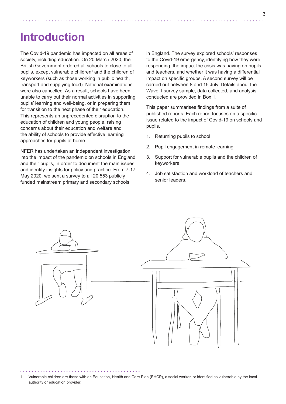# **Introduction**

The Covid-19 pandemic has impacted on all areas of society, including education. On 20 March 2020, the British Government ordered all schools to close to all pupils, except vulnerable children<sup>1</sup> and the children of keyworkers (such as those working in public health, transport and supplying food). National examinations were also cancelled. As a result, schools have been unable to carry out their normal activities in supporting pupils' learning and well-being, or in preparing them for transition to the next phase of their education. This represents an unprecedented disruption to the education of children and young people, raising concerns about their education and welfare and the ability of schools to provide effective learning approaches for pupils at home.

NFER has undertaken an independent investigation into the impact of the pandemic on schools in England and their pupils, in order to document the main issues and identify insights for policy and practice. From 7-17 May 2020, we sent a survey to all 20,553 publicly funded mainstream primary and secondary schools

in England. The survey explored schools' responses to the Covid-19 emergency, identifying how they were responding, the impact the crisis was having on pupils and teachers, and whether it was having a differential impact on specific groups. A second survey will be carried out between 8 and 15 July. Details about the Wave 1 survey sample, data collected, and analysis conducted are provided in Box 1.

This paper summarises findings from a suite of published reports. Each report focuses on a specific issue related to the impact of Covid-19 on schools and pupils.

- 1. Returning pupils to school
- 2. Pupil engagement in remote learning
- 3. Support for vulnerable pupils and the children of keyworkers
- 4. Job satisfaction and workload of teachers and senior leaders.



1 Vulnerable children are those with an Education, Health and Care Plan (EHCP), a social worker, or identified as vulnerable by the local authority or education provider.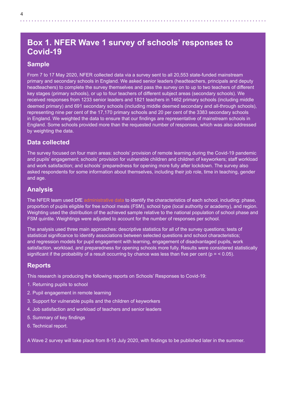# **Box 1. NFER Wave 1 survey of schools' responses to Covid-19**

#### **Sample**

From 7 to 17 May 2020, NFER collected data via a survey sent to all 20,553 state-funded mainstream primary and secondary schools in England. We asked senior leaders (headteachers, principals and deputy headteachers) to complete the survey themselves and pass the survey on to up to two teachers of different key stages (primary schools), or up to four teachers of different subject areas (secondary schools). We received responses from 1233 senior leaders and 1821 teachers in 1462 primary schools (including middle deemed primary) and 691 secondary schools (including middle deemed secondary and all-through schools), representing nine per cent of the 17,170 primary schools and 20 per cent of the 3383 secondary schools in England. We weighted the data to ensure that our findings are representative of mainstream schools in England. Some schools provided more than the requested number of responses, which was also addressed by weighting the data.

#### **Data collected**

The survey focused on four main areas: schools' provision of remote learning during the Covid-19 pandemic and pupils' engagement; schools' provision for vulnerable children and children of keyworkers; staff workload and work satisfaction; and schools' preparedness for opening more fully after lockdown. The survey also asked respondents for some information about themselves, including their job role, time in teaching, gender and age.

#### **Analysis**

The NFER team used DfE [administrative data](https://get-information-schools.service.gov.uk) to identify the characteristics of each school, including: phase, proportion of pupils eligible for free school meals (FSM), school type (local authority or academy), and region. Weighting used the distribution of the achieved sample relative to the national population of school phase and FSM quintile. Weightings were adjusted to account for the number of responses per school.

The analysis used three main approaches: descriptive statistics for all of the survey questions; tests of statistical significance to identify associations between selected questions and school characteristics; and regression models for pupil engagement with learning, engagement of disadvantaged pupils, work satisfaction, workload, and preparedness for opening schools more fully. Results were considered statistically significant if the probability of a result occurring by chance was less than five per cent ( $p = < 0.05$ ).

#### **Reports**

This research is producing the following reports on Schools' Responses to Covid-19:

- 1. Returning pupils to school
- 2. Pupil engagement in remote learning
- 3. Support for vulnerable pupils and the children of keyworkers
- 4. Job satisfaction and workload of teachers and senior leaders
- 5. Summary of key findings
- 6. Technical report.

A Wave 2 survey will take place from 8-15 July 2020, with findings to be published later in the summer.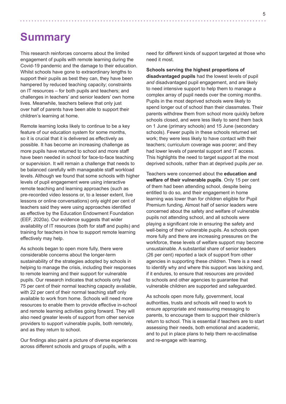# **Summary**

This research reinforces concerns about the limited engagement of pupils with remote learning during the Covid-19 pandemic and the damage to their education. Whilst schools have gone to extraordinary lengths to support their pupils as best they can, they have been hampered by reduced teaching capacity; constraints on IT resources – for both pupils and teachers; and challenges in teachers' and senior leaders' own home lives. Meanwhile, teachers believe that only just over half of parents have been able to support their children's learning at home.

Remote learning looks likely to continue to be a key feature of our education system for some months, so it is crucial that it is delivered as effectively as possible. It has become an increasing challenge as more pupils have returned to school and more staff have been needed in school for face-to-face teaching or supervision. It will remain a challenge that needs to be balanced carefully with manageable staff workload levels. Although we found that some schools with higher levels of pupil engagement were using interactive remote teaching and learning approaches (such as pre-recorded video lessons or, to a lesser extent, live lessons or online conversations) only eight per cent of teachers said they were using approaches identified as effective by the Education Endowment Foundation (EEF, 2020a). Our evidence suggests that wider availability of IT resources (both for staff and pupils) and training for teachers in how to support remote learning effectively may help.

As schools began to open more fully, there were considerable concerns about the longer-term sustainability of the strategies adopted by schools in helping to manage the crisis, including their responses to remote learning and their support for vulnerable pupils. Our research indicates that schools only had 75 per cent of their normal teaching capacity available, with 22 per cent of their normal teaching staff only available to work from home. Schools will need more resources to enable them to provide effective in-school and remote learning activities going forward. They will also need greater levels of support from other service providers to support vulnerable pupils, both remotely, and as they return to school.

Our findings also paint a picture of diverse experiences across different schools and groups of pupils, with a

need for different kinds of support targeted at those who need it most.

**Schools serving the highest proportions of disadvantaged pupils** had the lowest levels of pupil *and* disadvantaged pupil engagement, and are likely to need intensive support to help them to manage a complex array of pupil needs over the coming months. Pupils in the most deprived schools were likely to spend longer out of school than their classmates. Their parents withdrew them from school more quickly before schools closed, and were less likely to send them back on 1 June (primary schools) and 15 June (secondary schools). Fewer pupils in these schools returned set work; they were less likely to have contact with their teachers; curriculum coverage was poorer; and they had lower levels of parental support and IT access. This highlights the need to target support at the most deprived schools, rather than at deprived pupils *per se*.

Teachers were concerned about the **education and welfare of their vulnerable pupils**. Only 15 per cent of them had been attending school, despite being entitled to do so, and their engagement in home learning was lower than for children eligible for Pupil Premium funding. Almost half of senior leaders were concerned about the safety and welfare of vulnerable pupils not attending school, and all schools were playing a significant role in ensuring the safety and well-being of their vulnerable pupils. As schools open more fully and there are increasing pressures on the workforce, these levels of welfare support may become unsustainable. A substantial share of senior leaders (26 per cent) reported a lack of support from other agencies in supporting these children. There is a need to identify why and where this support was lacking and, if it endures, to ensure that resources are provided to schools and other agencies to guarantee that vulnerable children are supported and safeguarded.

As schools open more fully, government, local authorities, trusts and schools will need to work to ensure appropriate and reassuring messaging to parents, to encourage them to support their children's return to school. This is essential if teachers are to start assessing their needs, both emotional and academic, and to put in place plans to help them re-acclimatise and re-engage with learning.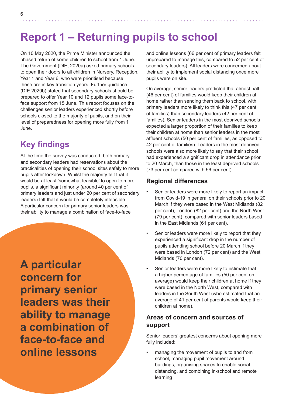# **Report 1 – Returning pupils to school**

On 10 May 2020, the Prime Minister announced the phased return of some children to school from 1 June. The Government (DfE, 2020a) asked primary schools to open their doors to all children in Nursery, Reception, Year 1 and Year 6, who were prioritised because these are in key transition years. Further guidance (DfE 2020b) stated that secondary schools should be prepared to offer Year 10 and 12 pupils some face-toface support from 15 June. This report focuses on the challenges senior leaders experienced shortly before schools closed to the majority of pupils, and on their level of preparedness for opening more fully from 1 June.

# **Key findings**

At the time the survey was conducted, both primary and secondary leaders had reservations about the practicalities of opening their school sites safely to more pupils after lockdown. Whilst the majority felt that it would be at least 'somewhat feasible' to open to more pupils, a significant minority (around 40 per cent of primary leaders and just under 20 per cent of secondary leaders) felt that it would be completely infeasible. A particular concern for primary senior leaders was their ability to manage a combination of face-to-face

**A particular concern for primary senior leaders was their ability to manage a combination of face-to-face and online lessons**

and online lessons (66 per cent of primary leaders felt unprepared to manage this, compared to 52 per cent of secondary leaders). All leaders were concerned about their ability to implement social distancing once more pupils were on site.

On average, senior leaders predicted that almost half (46 per cent) of families would keep their children at home rather than sending them back to school, with primary leaders more likely to think this (47 per cent of families) than secondary leaders (42 per cent of families). Senior leaders in the most deprived schools expected a larger proportion of their families to keep their children at home than senior leaders in the most affluent schools (50 per cent of families, as opposed to 42 per cent of families). Leaders in the most deprived schools were also more likely to say that their school had experienced a significant drop in attendance prior to 20 March, than those in the least deprived schools (73 per cent compared with 56 per cent).

#### **Regional differences**

- Senior leaders were more likely to report an impact from Covid-19 in general on their schools prior to 20 March if they were based in the West Midlands (82 per cent), London (82 per cent) and the North West (79 per cent), compared with senior leaders based in the East Midlands (61 per cent).
- Senior leaders were more likely to report that they experienced a significant drop in the number of pupils attending school before 20 March if they were based in London (72 per cent) and the West Midlands (70 per cent).
- Senior leaders were more likely to estimate that a higher percentage of families (50 per cent on average) would keep their children at home if they were based in the North West, compared with leaders in the South West (who estimated that an average of 41 per cent of parents would keep their children at home).

#### **Areas of concern and sources of support**

Senior leaders' greatest concerns about opening more fully included:

• managing the movement of pupils to and from school, managing pupil movement around buildings, organising spaces to enable social distancing, and combining in-school and remote learning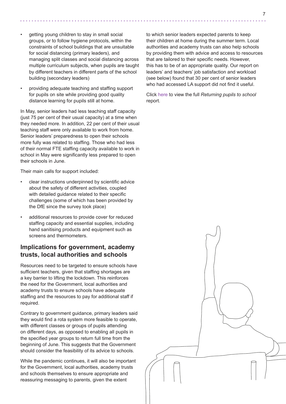- getting young children to stay in small social groups, or to follow hygiene protocols, within the constraints of school buildings that are unsuitable for social distancing (primary leaders), and managing split classes and social distancing across multiple curriculum subjects, when pupils are taught by different teachers in different parts of the school building (secondary leaders)
- providing adequate teaching and staffing support for pupils on site while providing good quality distance learning for pupils still at home.

In May, senior leaders had less teaching staff capacity (just 75 per cent of their usual capacity) at a time when they needed more. In addition, 22 per cent of their usual teaching staff were only available to work from home. Senior leaders' preparedness to open their schools more fully was related to staffing. Those who had less of their normal FTE staffing capacity available to work in school in May were significantly less prepared to open their schools in June.

Their main calls for support included:

- clear instructions underpinned by scientific advice about the safety of different activities, coupled with detailed guidance related to their specific challenges (some of which has been provided by the DfE since the survey took place)
- additional resources to provide cover for reduced staffing capacity and essential supplies, including hand sanitising products and equipment such as screens and thermometers.

#### **Implications for government, academy trusts, local authorities and schools**

Resources need to be targeted to ensure schools have sufficient teachers, given that staffing shortages are a key barrier to lifting the lockdown. This reinforces the need for the Government, local authorities and academy trusts to ensure schools have adequate staffing and the resources to pay for additional staff if required.

Contrary to government guidance, primary leaders said they would find a rota system more feasible to operate, with different classes or groups of pupils attending on different days, as opposed to enabling all pupils in the specified year groups to return full time from the beginning of June. This suggests that the Government should consider the feasibility of its advice to schools.

While the pandemic continues, it will also be important for the Government, local authorities, academy trusts and schools themselves to ensure appropriate and reassuring messaging to parents, given the extent

to which senior leaders expected parents to keep their children at home during the summer term. Local authorities and academy trusts can also help schools by providing them with advice and access to resources that are tailored to their specific needs. However, this has to be of an appropriate quality. Our report on leaders' and teachers' job satisfaction and workload (see below) found that 30 per cent of senior leaders who had accessed LA support did not find it useful.

Click [here](https://www.nfer.ac.uk/media/4060/schools_responses_to_covid_19_early_report_final.pdf) to view the full *Returning pupils to school* report.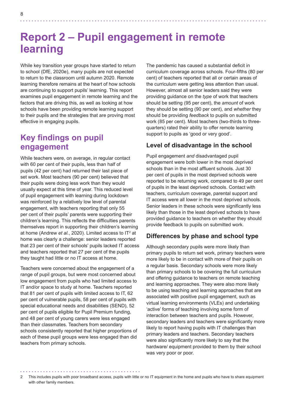# **Report 2 – Pupil engagement in remote learning**

While key transition year groups have started to return to school (DfE, 2020e), many pupils are not expected to return to the classroom until autumn 2020. Remote learning therefore remains at the heart of how schools are continuing to support pupils' learning. This report examines pupil engagement in remote learning and the factors that are driving this, as well as looking at how schools have been providing remote learning support to their pupils and the strategies that are proving most effective in engaging pupils.

# **Key findings on pupil engagement**

While teachers were, on average, in regular contact with 60 per cent of their pupils, less than half of pupils (42 per cent) had returned their last piece of set work. Most teachers (90 per cent) believed that their pupils were doing less work than they would usually expect at this time of year. This reduced level of pupil engagement with learning during lockdown was reinforced by a relatively low level of parental engagement, with teachers reporting that only 55 per cent of their pupils' parents were supporting their children's learning. This reflects the difficulties parents themselves report in supporting their children's learning at home (Andrew *et al.*, 2020). Limited access to IT<sup>2</sup> at home was clearly a challenge: senior leaders reported that 23 per cent of their schools' pupils lacked IT access and teachers reported that 27 per cent of the pupils they taught had little or no IT access at home.

Teachers were concerned about the engagement of a range of pupil groups, but were most concerned about low engagement from pupils who had limited access to IT and/or space to study at home. Teachers reported that 81 per cent of pupils with limited access to IT, 62 per cent of vulnerable pupils, 58 per cent of pupils with special educational needs and disabilities (SEND), 52 per cent of pupils eligible for Pupil Premium funding, and 48 per cent of young carers were less engaged than their classmates. Teachers from secondary schools consistently reported that higher proportions of each of these pupil groups were less engaged than did teachers from primary schools.

The pandemic has caused a substantial deficit in curriculum coverage across schools. Four-fifths (80 per cent) of teachers reported that all or certain areas of the curriculum were getting less attention than usual. However, almost all senior leaders said they were providing guidance on the *type* of work that teachers should be setting (95 per cent), the *amount* of work they should be setting (90 per cent), and *whether* they should be providing *feedback* to pupils on submitted work (85 per cent). Most teachers (two-thirds to threequarters) rated their ability to offer remote learning support to pupils as 'good or very good'.

#### **Level of disadvantage in the school**

Pupil engagement *and* disadvantaged pupil engagement were both lower in the most deprived schools than in the most affluent schools. Just 30 per cent of pupils in the most deprived schools were reported to be returning work, compared to 49 per cent of pupils in the least deprived schools. Contact with teachers, curriculum coverage, parental support and IT access were all lower in the most deprived schools. Senior leaders in these schools were significantly less likely than those in the least deprived schools to have provided guidance to teachers on whether they should provide feedback to pupils on submitted work.

#### **Differences by phase and school type**

Although secondary pupils were more likely than primary pupils to return set work, primary teachers were more likely to be in contact with more of their pupils on a regular basis. Secondary schools were more likely than primary schools to be covering the full curriculum and offering guidance to teachers on remote teaching and learning approaches. They were also more likely to be using teaching and learning approaches that are associated with positive pupil engagement, such as virtual learning environments (VLEs) and undertaking 'active' forms of teaching involving some form of interaction between teachers and pupils. However, secondary leaders and teachers were significantly more likely to report having pupils with IT challenges than primary leaders and teachers. Secondary teachers were also significantly more likely to say that the hardware/ equipment provided to them by their school was very poor or poor.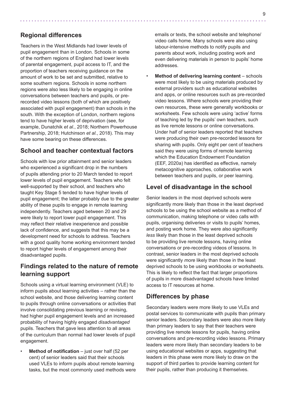#### **Regional differences**

Teachers in the West Midlands had lower levels of pupil engagement than in London. Schools in some of the northern regions of England had lower levels of parental engagement, pupil access to IT, and the proportion of teachers receiving guidance on the amount of work to be set and submitted, relative to some southern regions. Schools in some northern regions were also less likely to be engaging in online conversations between teachers and pupils, or prerecorded video lessons (both of which are positively associated with pupil engagement) than schools in the south. With the exception of London, northern regions tend to have higher levels of deprivation (see, for example, Dunatchik *et al.*, 2018; Northern Powerhouse Partnership, 2018; Hutchinson *et al.*, 2018). This may have some bearing on these differences.

#### **School and teacher contextual factors**

Schools with low prior attainment and senior leaders who experienced a significant drop in the numbers of pupils attending prior to 20 March tended to report lower levels of pupil engagement. Teachers who felt well-supported by their school, and teachers who taught Key Stage 5 tended to have higher levels of pupil engagement; the latter probably due to the greater ability of these pupils to engage in remote learning independently. Teachers aged between 20 and 29 were likely to report lower pupil engagement. This may reflect their relative inexperience and possible lack of confidence, and suggests that this may be a development need for schools to address. Teachers with a good quality home working environment tended to report higher levels of engagement among their disadvantaged pupils.

#### **Findings related to the nature of remote learning support**

Schools using a virtual learning environment (VLE) to inform pupils about learning activities – rather than the school website, and those delivering learning content to pupils through online conversations or activities that involve consolidating previous learning or revising, had higher pupil engagement levels and an increased probability of having highly engaged *disadvantaged* pupils. Teachers that gave less attention to all areas of the curriculum than normal had lower levels of pupil engagement.

**Method of notification** – just over half (52 per cent) of senior leaders said that their schools used VLEs to inform pupils about remote learning tasks, but the most commonly used methods were emails or texts, the school website and telephone/ video calls home. Many schools were also using labour-intensive methods to notify pupils and parents about work, including posting work and even delivering materials in person to pupils' home addresses.

**Method of delivering learning content - schools** were most likely to be using materials produced by external providers such as educational websites and apps, or online resources such as pre-recorded video lessons. Where schools were providing their own resources, these were generally workbooks or worksheets. Few schools were using 'active' forms of teaching led by the pupils' own teachers, such as live remote lessons or online conversations. Under half of senior leaders reported that teachers were producing their own pre-recorded lessons for sharing with pupils. Only eight per cent of teachers said they were using forms of remote learning which the Education Endowment Foundation (EEF, 2020a) has identified as effective, namely metacognitive approaches, collaborative work between teachers and pupils, or peer learning.

#### **Level of disadvantage in the school**

Senior leaders in the most deprived schools were significantly more likely than those in the least deprived schools to be using the school website as a method of communication, making telephone or video calls with pupils, organising deliveries or visits to pupils' homes, and posting work home. They were also significantly *less* likely than those in the least deprived schools to be providing live remote lessons, having online conversations or pre-recording videos of lessons. In contrast, senior leaders in the most deprived schools were significantly *more* likely than those in the least deprived schools to be using workbooks or worksheets. This is likely to reflect the fact that larger proportions of pupils in more disadvantaged schools have limited access to IT resources at home.

#### **Differences by phase**

Secondary leaders were more likely to use VLEs and postal services to communicate with pupils than primary senior leaders. Secondary leaders were also more likely than primary leaders to say that their teachers were providing live remote lessons for pupils, having online conversations and pre-recording video lessons. Primary leaders were more likely than secondary leaders to be using educational websites or apps, suggesting that leaders in this phase were more likely to draw on the support of third parties to provide learning content for their pupils, rather than producing it themselves.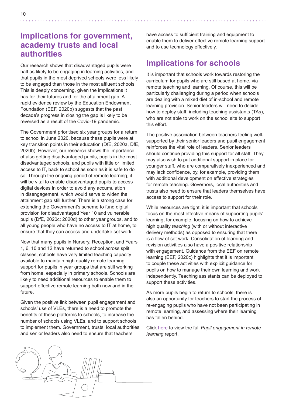### **Implications for government, academy trusts and local authorities**

Our research shows that disadvantaged pupils were half as likely to be engaging in learning activities, and that pupils in the most deprived schools were less likely to be engaged than those in the most affluent schools. This is deeply concerning, given the implications it has for their futures and for the attainment gap. A rapid evidence review by the Education Endowment Foundation (EEF, 2020b) suggests that the past decade's progress in closing the gap is likely to be reversed as a result of the Covid-19 pandemic.

The Government prioritised six year groups for a return to school in June 2020, because these pupils were at key transition points in their education (DfE, 2020a, DfE, 2020b). However, our research shows the importance of also getting disadvantaged pupils, pupils in the most disadvantaged schools, and pupils with little or limited access to IT, back to school as soon as it is safe to do so. Through the ongoing period of remote learning, it will be vital to enable disadvantaged pupils to access digital devices in order to avoid any accumulation in disengagement, which would serve to widen the attainment gap still further. There is a strong case for extending the Government's scheme to fund digital provision for disadvantaged Year 10 and vulnerable pupils (DfE, 2020c; 2020d) to other year groups, and to all young people who have no access to IT at home, to ensure that they can access and undertake set work.

Now that many pupils in Nursery, Reception, and Years 1, 6, 10 and 12 have returned to school across split classes, schools have very limited teaching capacity available to maintain high quality remote learning support for pupils in year groups that are still working from home, especially in primary schools. Schools are likely to need additional resources to enable them to support effective remote learning both now and in the future.

Given the positive link between pupil engagement and schools' use of VLEs, there is a need to promote the benefits of these platforms to schools, to increase the number of schools using VLEs, and to support schools to implement them. Government, trusts, local authorities and senior leaders also need to ensure that teachers

have access to sufficient training and equipment to enable them to deliver effective remote learning support and to use technology effectively.

# **Implications for schools**

It is important that schools work towards restoring the curriculum for pupils who are still based at home, via remote teaching and learning. Of course, this will be particularly challenging during a period when schools are dealing with a mixed diet of in-school and remote learning provision. Senior leaders will need to decide how to deploy staff, including teaching assistants (TAs), who are not able to work on the school site to support this effort.

The positive association between teachers feeling wellsupported by their senior leaders and pupil engagement reinforces the vital role of leaders. Senior leaders should continue providing this support for all staff. They may also wish to put additional support in place for younger staff, who are comparatively inexperienced and may lack confidence, by, for example, providing them with additional development on effective strategies for remote teaching. Governors, local authorities and trusts also need to ensure that leaders themselves have access to support for their role.

While resources are tight, it is important that schools focus on the most effective means of supporting pupils' learning, for example, focusing on how to achieve high quality *teaching* (with or without interactive delivery methods) as opposed to ensuring that there is a flow of set work. Consolidation of learning and revision activities also have a positive relationship with engagement. Guidance from the EEF on remote learning (EEF, 2020c) highlights that it is important to couple these activities with explicit guidance for pupils on how to manage their own learning and work independently. Teaching assistants can be deployed to support these activities.

As more pupils begin to return to schools, there is also an opportunity for teachers to start the process of re-engaging pupils who have not been participating in remote learning, and assessing where their learning has fallen behind.

Click [here](https://www.nfer.ac.uk/media/4073/schools_responses_to_covid_19_pupil_engagement_in_remote_learning.pdf) to view the full *Pupil engagement in remote learning* report.

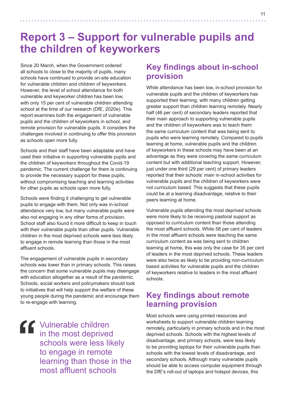# **Report 3 – Support for vulnerable pupils and the children of keyworkers**

Since 20 March, when the Government ordered all schools to close to the majority of pupils, many schools have continued to provide on-site education for vulnerable children and children of keyworkers. However, the level of school attendance for both vulnerable and keyworker children has been low, with only 15 per cent of vulnerable children attending school at the time of our research (DfE, 2020e). This report examines both the engagement of vulnerable pupils and the children of keyworkers in school, and remote provision for vulnerable pupils. It considers the challenges involved in continuing to offer this provision as schools open more fully.

Schools and their staff have been adaptable and have used their initiative in supporting vulnerable pupils and the children of keyworkers throughout the Covid-19 pandemic. The current challenge for them is continuing to provide the necessary support for these pupils, without compromising teaching and learning activities for other pupils as schools open more fully.

Schools were finding it challenging to get vulnerable pupils to engage with them. Not only was in-school attendance very low, but many vulnerable pupils were also not engaging in any other forms of provision. School staff also found it more difficult to keep in touch with their vulnerable pupils than other pupils. Vulnerable children in the most deprived schools were less likely to engage in remote learning than those in the most affluent schools.

The engagement of vulnerable pupils in secondary schools was lower than in primary schools. This raises the concern that some vulnerable pupils may disengage with education altogether as a result of the pandemic. Schools, social workers and policymakers should look to initiatives that will help support the welfare of these young people during the pandemic and encourage them to re-engage with learning.

Vulnerable children in the most deprived schools were less likely to engage in remote learning than those in the most affluent schools

# **Key findings about in-school provision**

While attendance has been low, in-school provision for vulnerable pupils and the children of keyworkers has supported their learning, with many children getting greater support than children learning remotely. Nearly half (46 per cent) of secondary leaders reported that their main approach to supporting vulnerable pupils and the children of keyworkers was to teach them the same curriculum content that was being sent to pupils who were learning remotely. Compared to pupils learning at home, vulnerable pupils and the children of keyworkers in these schools may have been at an advantage as they were covering the same curriculum content but with additional teaching support. However, just under one third (29 per cent) of primary leaders reported that their schools' main in-school activities for vulnerable pupils and the children of keyworkers were not curriculum based. This suggests that these pupils could be at a learning disadvantage, relative to their peers learning at home.

Vulnerable pupils attending the most deprived schools were more likely to be receiving pastoral support as opposed to curriculum content than those attending the most affluent schools. While 58 per cent of leaders in the most affluent schools were teaching the same curriculum content as was being sent to children learning at home, this was only the case for 35 per cent of leaders in the most deprived schools. These leaders were also twice as likely to be providing non-curriculum based activities for vulnerable pupils and the children of keyworkers relative to leaders in the most affluent schools.

# **Key findings about remote learning provision**

Most schools were using printed resources and worksheets to support vulnerable children learning remotely, particularly in primary schools and in the most deprived schools. Schools with the highest levels of disadvantage, and primary schools, were less likely to be providing laptops for their vulnerable pupils than schools with the lowest levels of disadvantage, and secondary schools. Although many vulnerable pupils should be able to access computer equipment through the DfE's roll-out of laptops and hotspot devices, this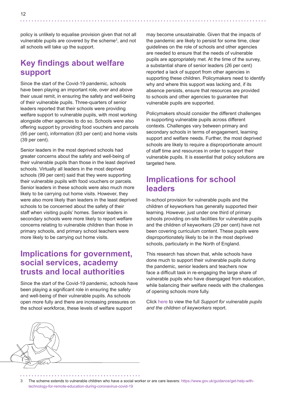policy is unlikely to equalise provision given that not all vulnerable pupils are covered by the scheme<sup>3</sup>, and not all schools will take up the support.

### **Key findings about welfare support**

Since the start of the Covid-19 pandemic, schools have been playing an important role, over and above their usual remit, in ensuring the safety and well-being of their vulnerable pupils. Three-quarters of senior leaders reported that their schools were providing welfare support to vulnerable pupils, with most working alongside other agencies to do so. Schools were also offering support by providing food vouchers and parcels (95 per cent), information (83 per cent) and home visits (39 per cent).

Senior leaders in the most deprived schools had greater concerns about the safety and well-being of their vulnerable pupils than those in the least deprived schools. Virtually all leaders in the most deprived schools (99 per cent) said that they were supporting their vulnerable pupils with food vouchers or parcels. Senior leaders in these schools were also much more likely to be carrying out home visits. However, they were also more likely than leaders in the least deprived schools to be concerned about the safety of their staff when visiting pupils' homes. Senior leaders in secondary schools were more likely to report welfare concerns relating to vulnerable children than those in primary schools, and primary school teachers were more likely to be carrying out home visits.

### **Implications for government, social services, academy trusts and local authorities**

Since the start of the Covid-19 pandemic, schools have been playing a significant role in ensuring the safety and well-being of their vulnerable pupils. As schools open more fully and there are increasing pressures on the school workforce, these levels of welfare support

may become unsustainable. Given that the impacts of the pandemic are likely to persist for some time, clear guidelines on the role of schools and other agencies are needed to ensure that the needs of vulnerable pupils are appropriately met. At the time of the survey, a substantial share of senior leaders (26 per cent) reported a lack of support from other agencies in supporting these children. Policymakers need to identify why and where this support was lacking and, if its absence persists, ensure that resources are provided to schools and other agencies to guarantee that vulnerable pupils are supported.

Policymakers should consider the different challenges in supporting vulnerable pupils across different contexts. Challenges vary between primary and secondary schools in terms of engagement, learning support and welfare needs. Further, the most deprived schools are likely to require a disproportionate amount of staff time and resources in order to support their vulnerable pupils. It is essential that policy solutions are targeted here.

### **Implications for school leaders**

In-school provision for vulnerable pupils and the children of keyworkers has generally supported their learning. However, just under one third of primary schools providing on-site facilities for vulnerable pupils and the children of keyworkers (29 per cent) have not been covering curriculum content. These pupils were disproportionately likely to be in the most deprived schools, particularly in the North of England.

This research has shown that, while schools have done much to support their vulnerable pupils during the pandemic, senior leaders and teachers now face a difficult task in re-engaging the large share of vulnerable pupils who have disengaged from education, while balancing their welfare needs with the challenges of opening schools more fully.

Click [here](https://www.nfer.ac.uk/media/4075/schools_responses_to_covid_19_support_for_vulnerable_pupils_and_the_children_of_keyworkers.pdf) to view the full *Support for vulnerable pupils and the children of keyworkers* report.

3 The scheme extends to vulnerable children who have a social worker or are care leavers: [https://www.gov.uk/guidance/get-help-with](https://www.gov.uk/guidance/get-help-with-technology-for-remote-education-during-coronavirus-covid-19)[technology-for-remote-education-during-coronavirus-covid-19](https://www.gov.uk/guidance/get-help-with-technology-for-remote-education-during-coronavirus-covid-19)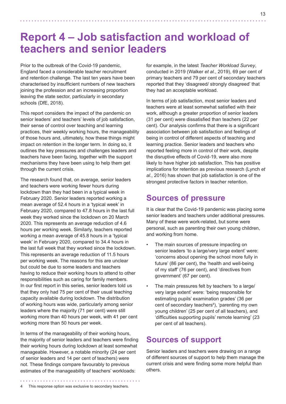# **Report 4 – Job satisfaction and workload of teachers and senior leaders**

Prior to the outbreak of the Covid-19 pandemic, England faced a considerable teacher recruitment and retention challenge. The last ten years have been characterised by insufficient numbers of new teachers joining the profession and an increasing proportion leaving the state sector, particularly in secondary schools (DfE, 2018).

This report considers the impact of the pandemic on senior leaders' and teachers' levels of job satisfaction, their sense of control over teaching and learning practices, their weekly working hours, the manageability of those hours and, ultimately, how these things might impact on retention in the longer term. In doing so, it outlines the key pressures and challenges leaders and teachers have been facing, together with the support mechanisms they have been using to help them get through the current crisis.

The research found that, on average, senior leaders and teachers were working fewer hours during lockdown than they had been in a typical week in February 2020. Senior leaders reported working a mean average of 52.4 hours in a 'typical week' in February 2020, compared to 47.8 hours in the last full week they worked since the lockdown on 20 March 2020. This represents an average reduction of 4.6 hours per working week. Similarly, teachers reported working a mean average of 45.8 hours in a 'typical week' in February 2020, compared to 34.4 hours in the last full week that they worked since the lockdown. This represents an average reduction of 11.5 hours per working week. The reasons for this are unclear but could be due to some leaders and teachers having to reduce their working hours to attend to other responsibilities such as caring for family members. In our first report in this series, senior leaders told us that they only had 75 per cent of their usual teaching capacity available during lockdown. The distribution of working hours was wide, particularly among senior leaders where the majority (71 per cent) were still working more than 40 hours per week, with 41 per cent working more than 50 hours per week.

In terms of the manageability of their working hours, the majority of senior leaders and teachers were finding their working hours during lockdown at least somewhat manageable. However, a notable minority (24 per cent of senior leaders and 14 per cent of teachers) were not. These findings compare favourably to previous estimates of the manageability of teachers' workloads:

for example, in the latest *Teacher Workload Survey*, conducted in 2019 (Walker *et al.*, 2019), 69 per cent of primary teachers and 79 per cent of secondary teachers reported that they 'disagreed/ strongly disagreed' that they had an acceptable workload.

In terms of job satisfaction, most senior leaders and teachers were at least somewhat satisfied with their work, although a greater proportion of senior leaders (31 per cent) were dissatisfied than teachers (22 per cent). Our analysis confirms that there is a significant association between job satisfaction and feelings of being in control of different aspects of teaching and learning practice. Senior leaders and teachers who reported feeling more in control of their work, despite the disruptive effects of Covid-19, were also more likely to have higher job satisfaction. This has positive implications for retention as previous research (Lynch *et al.*, 2016) has shown that job satisfaction is one of the strongest protective factors in teacher retention.

### **Sources of pressure**

It is clear that the Covid-19 pandemic was placing some senior leaders and teachers under additional pressures. Many of these were work-related, but some were personal, such as parenting their own young children, and working from home.

- The main sources of pressure impacting on senior leaders 'to a large/very large extent' were: 'concerns about opening the school more fully in future' (86 per cent), the 'health and well-being of my staff' (76 per cent), and 'directives from government' (67 per cent).
- The main pressures felt by teachers 'to a large/ very large extent' were: 'being responsible for estimating pupils' examination grades' (36 per cent of secondary teachers<sup>4</sup>), 'parenting my own young children' (25 per cent of all teachers), and 'difficulties supporting pupils' remote learning' (23 per cent of all teachers).

# **Sources of support**

Senior leaders and teachers were drawing on a range of different sources of support to help them manage the current crisis and were finding some more helpful than others.

This response option was exclusive to secondary teachers.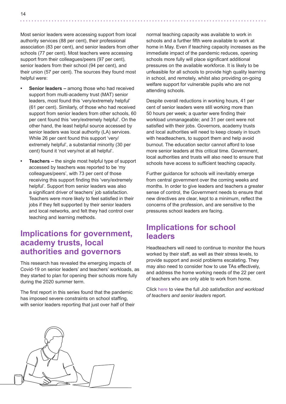- **Senior leaders –** among those who had received support from multi-academy trust (MAT) senior leaders, most found this 'very/extremely helpful' (61 per cent). Similarly, of those who had received support from senior leaders from other schools, 60 per cent found this 'very/extremely helpful'. On the other hand, the least helpful source accessed by senior leaders was local authority (LA) services. While 26 per cent found this support 'very/ extremely helpful', a substantial minority (30 per cent) found it 'not very/not at all helpful'.
- **• Teachers** the single most helpful type of support accessed by teachers was reported to be 'my colleagues/peers', with 73 per cent of those receiving this support finding this 'very/extremely helpful'. Support from senior leaders was also a significant driver of teachers' job satisfaction. Teachers were more likely to feel satisfied in their jobs if they felt supported by their senior leaders and local networks, and felt they had control over teaching and learning methods.

### **Implications for government, academy trusts, local authorities and governors**

This research has revealed the emerging impacts of Covid-19 on senior leaders' and teachers' workloads, as they started to plan for opening their schools more fully during the 2020 summer term.

The first report in this series found that the pandemic has imposed severe constraints on school staffing, with senior leaders reporting that just over half of their

normal teaching capacity was available to work in schools and a further fifth were available to work at home in May. Even if teaching capacity increases as the immediate impact of the pandemic reduces, opening schools more fully will place significant additional pressures on the available workforce. It is likely to be unfeasible for all schools to provide high quality learning in school, and remotely, whilst also providing on-going welfare support for vulnerable pupils who are not attending schools.

Despite overall reductions in working hours, 41 per cent of senior leaders were still working more than 50 hours per week; a quarter were finding their workload unmanageable; and 31 per cent were not satisfied with their jobs. Governors, academy trusts and local authorities will need to keep closely in touch with headteachers, to support them and help avoid burnout. The education sector cannot afford to lose more senior leaders at this critical time. Government local authorities and trusts will also need to ensure that schools have access to sufficient teaching capacity.

Further guidance for schools will inevitably emerge from central government over the coming weeks and months. In order to give leaders and teachers a greater sense of control, the Government needs to ensure that new directives are clear, kept to a minimum, reflect the concerns of the profession, and are sensitive to the pressures school leaders are facing.

# **Implications for school leaders**

Headteachers will need to continue to monitor the hours worked by their staff, as well as their stress levels, to provide support and avoid problems escalating. They may also need to consider how to use TAs effectively, and address the home working needs of the 22 per cent of teachers who are only able to work from home.

Click [here](https://www.nfer.ac.uk/media/4074/schools_responses_to_covid_19_job_satisfaction_and_workload_of_teacher_and_senior_leaders.pdf) to view the full *Job satisfaction and workload of teachers and senior leaders* report.

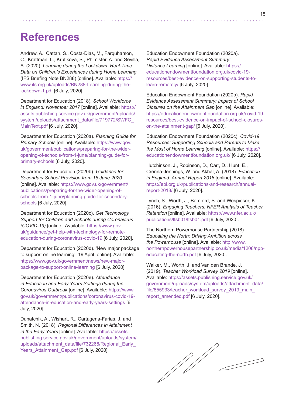# **References**

Andrew, A., Cattan, S., Costa-Dias, M., Farquharson, C., Kraftman, L., Krutikova, S., Phimister, A. and Sevilla, A. (2020). *Learning during the Lockdown: Real-Time Data on Children's Experiences during Home Learning* (IFS Briefing Note BN288) [online]. Available: [https://](https://www.ifs.org.uk/uploads/BN288-Learning-during-the-lockdown-1.pdf) [www.ifs.org.uk/uploads/BN288-Learning-during-the](https://www.ifs.org.uk/uploads/BN288-Learning-during-the-lockdown-1.pdf)[lockdown-1.pdf](https://www.ifs.org.uk/uploads/BN288-Learning-during-the-lockdown-1.pdf) [6 July, 2020].

Department for Education (2018). *School Workforce in England: November 2017* [online]. Available: [https://](https://assets.publishing.service.gov.uk/government/uploads/system/uploads/attachment_data/file/719772/SWFC_MainText.pdf) [assets.publishing.service.gov.uk/government/uploads/](https://assets.publishing.service.gov.uk/government/uploads/system/uploads/attachment_data/file/719772/SWFC_MainText.pdf) system/uploads/attachment\_data/file/719772/SWFC [MainText.pdf](https://assets.publishing.service.gov.uk/government/uploads/system/uploads/attachment_data/file/719772/SWFC_MainText.pdf) [6 July, 2020].

Department for Education (2020a). *Planning Guide for Primary Schools* [online]. Available: [https://www.gov.](https://www.gov.uk/government/publications/preparing-for-the-wider-opening-of-schools-from-1-june/planning-guide-for-primary-schools) [uk/government/publications/preparing-for-the-wider](https://www.gov.uk/government/publications/preparing-for-the-wider-opening-of-schools-from-1-june/planning-guide-for-primary-schools)[opening-of-schools-from-1-june/planning-guide-for](https://www.gov.uk/government/publications/preparing-for-the-wider-opening-of-schools-from-1-june/planning-guide-for-primary-schools)[primary-schools](https://www.gov.uk/government/publications/preparing-for-the-wider-opening-of-schools-from-1-june/planning-guide-for-primary-schools) [6 July, 2020].

Department for Education (2020b). *Guidance for Secondary School Provision from 15 June 2020* [online]. Available: [https://www.gov.uk/government/](https://www.gov.uk/government/publications/preparing-for-the-wider-opening-of-schools-from-1-june/planning-guide-for-secondary-schools) [publications/preparing-for-the-wider-opening-of](https://www.gov.uk/government/publications/preparing-for-the-wider-opening-of-schools-from-1-june/planning-guide-for-secondary-schools)[schools-from-1-june/planning-guide-for-secondary](https://www.gov.uk/government/publications/preparing-for-the-wider-opening-of-schools-from-1-june/planning-guide-for-secondary-schools)[schools](https://www.gov.uk/government/publications/preparing-for-the-wider-opening-of-schools-from-1-june/planning-guide-for-secondary-schools) [6 July, 2020].

Department for Education (2020c). *Get Technology Support for Children and Schools during Coronavirus (COVID-19)* [online]. Available: [https://www.gov.](https://www.gov.uk/guidance/get-help-with-technology-for-remote-education-during-coronavirus-covid-19) [uk/guidance/get-help-with-technology-for-remote](https://www.gov.uk/guidance/get-help-with-technology-for-remote-education-during-coronavirus-covid-19)[education-during-coronavirus-covid-19](https://www.gov.uk/guidance/get-help-with-technology-for-remote-education-during-coronavirus-covid-19) [6 July, 2020].

Department for Education (2020d). 'New major package to support online learning', 19 April [online]. Available: [https://www.gov.uk/government/news/new-major](https://www.gov.uk/government/news/new-major-package-to-support-online-learning)[package-to-support-online-learning](https://www.gov.uk/government/news/new-major-package-to-support-online-learning) [6 July, 2020].

Department for Education (2020e). *[Attendance](https://assets.publishing.service.gov.uk/government/uploads/system/uploads/attachment_data/file/887357/Attendance_in_education_and_early_years_settings_during_the_coronavirus__COVID-19__outbreak___22_May.pdf)  [in Education and Early Years Settings during the](https://assets.publishing.service.gov.uk/government/uploads/system/uploads/attachment_data/file/887357/Attendance_in_education_and_early_years_settings_during_the_coronavirus__COVID-19__outbreak___22_May.pdf)  [Coronavirus Outbreak](https://assets.publishing.service.gov.uk/government/uploads/system/uploads/attachment_data/file/887357/Attendance_in_education_and_early_years_settings_during_the_coronavirus__COVID-19__outbreak___22_May.pdf)* [online]. Available: [https://www.](https://www.gov.uk/government/publications/coronavirus-covid-19-attendance-in-education-and-early-years-settings) [gov.uk/government/publications/coronavirus-covid-19](https://www.gov.uk/government/publications/coronavirus-covid-19-attendance-in-education-and-early-years-settings) [attendance-in-education-and-early-years-settings](https://www.gov.uk/government/publications/coronavirus-covid-19-attendance-in-education-and-early-years-settings) [\[6](https://www.gov.uk/government/publications/coronavirus-covid-19-attendance-in-education-and-early-years-settings [3 June, 2020].)  [July, 2020\].](https://www.gov.uk/government/publications/coronavirus-covid-19-attendance-in-education-and-early-years-settings [3 June, 2020].)

Dunatchik, A., Wishart, R., Cartagena-Farias, J. and Smith, N. (2018). *Regional Differences in Attainment in the Early Years* [online]. Available: [https://assets.](https://assets.publishing.service.gov.uk/government/uploads/system/uploads/attachment_data/file/732268/Regional_Early_Years_Attainment_Gap.pdf) [publishing.service.gov.uk/government/uploads/system/](https://assets.publishing.service.gov.uk/government/uploads/system/uploads/attachment_data/file/732268/Regional_Early_Years_Attainment_Gap.pdf) [uploads/attachment\\_data/file/732268/Regional\\_Early\\_](https://assets.publishing.service.gov.uk/government/uploads/system/uploads/attachment_data/file/732268/Regional_Early_Years_Attainment_Gap.pdf) Years Attainment Gap.pdf [6 July, 2020].

Education Endowment Foundation (2020a). *Rapid Evidence Assessment Summary: Distance Learning* [online]. Available: [https://](https://educationendowmentfoundation.org.uk/covid-19-resources/best-evidence-on-supporting-students-to-learn-remotely/) [educationendowmentfoundation.org.uk/covid-19](https://educationendowmentfoundation.org.uk/covid-19-resources/best-evidence-on-supporting-students-to-learn-remotely/) [resources/best-evidence-on-supporting-students-to](https://educationendowmentfoundation.org.uk/covid-19-resources/best-evidence-on-supporting-students-to-learn-remotely/)[learn-remotely/](https://educationendowmentfoundation.org.uk/covid-19-resources/best-evidence-on-supporting-students-to-learn-remotely/) [6 July, 2020].

Education Endowment Foundation (2020b). *Rapid Evidence Assessment Summary: Impact of School Closures on the Attainment Gap* [online]. Available: [https://educationendowmentfoundation.org.uk/covid-19](https://educationendowmentfoundation.org.uk/covid-19-resources/best-evidence-on-impact-of-school-closures-on-the-attainment-gap/) [resources/best-evidence-on-impact-of-school-closures](https://educationendowmentfoundation.org.uk/covid-19-resources/best-evidence-on-impact-of-school-closures-on-the-attainment-gap/)[on-the-attainment-gap/](https://educationendowmentfoundation.org.uk/covid-19-resources/best-evidence-on-impact-of-school-closures-on-the-attainment-gap/) [6 July, 2020].

Education Endowment Foundation (2020c). *Covid-19 Resources: Supporting Schools and Parents to Make the Most of Home Learning* [online]. Available: [https://](https://educationendowmentfoundation.org.uk/) [educationendowmentfoundation.org.uk/](https://educationendowmentfoundation.org.uk/) [6 July, 2020].

Hutchinson, J., Robinson, D., Carr, D., Hunt, E., Crenna-Jennings, W. and Akhal, A. (2018). *Education in England: Annual Report 2018* [online]. Available: [https://epi.org.uk/publications-and-research/annual](https://epi.org.uk/publications-and-research/annual-report-2018/)[report-2018/](https://epi.org.uk/publications-and-research/annual-report-2018/) [6 July, 2020].

Lynch, S., Worth, J., Bamford, S. and Wespieser, K. (2016). *Engaging Teachers: NFER Analysis of Teacher Retention* [online]. Available: [https://www.nfer.ac.uk/](https://www.nfer.ac.uk/publications/lfsb01/lfsb01.pdf) [publications/lfsb01/lfsb01.pdf](https://www.nfer.ac.uk/publications/lfsb01/lfsb01.pdf) [6 July, 2020].

The Northern Powerhouse Partnership (2018). *Educating the North: Driving Ambition across the Powerhouse* [online]. Available: [http://www.](http://www.northernpowerhousepartnership.co.uk/media/1208/npp-educating-the-north.pdf) [northernpowerhousepartnership.co.uk/media/1208/npp](http://www.northernpowerhousepartnership.co.uk/media/1208/npp-educating-the-north.pdf)[educating-the-north.pdf](http://www.northernpowerhousepartnership.co.uk/media/1208/npp-educating-the-north.pdf) [6 July, 2020].

Walker, M., Worth, J. and Van den Brande, J. (2019). *Teacher Workload Survey 2019* [online]. Available: [https://assets.publishing.service.gov.uk/](https://assets.publishing.service.gov.uk/government/uploads/system/uploads/attachment_data/file/855933/teacher_workload_survey_2019_main_report_amended.pdf) [government/uploads/system/uploads/attachment\\_data/](https://assets.publishing.service.gov.uk/government/uploads/system/uploads/attachment_data/file/855933/teacher_workload_survey_2019_main_report_amended.pdf) [file/855933/teacher\\_workload\\_survey\\_2019\\_main\\_](https://assets.publishing.service.gov.uk/government/uploads/system/uploads/attachment_data/file/855933/teacher_workload_survey_2019_main_report_amended.pdf) [report\\_amended.pdf](https://assets.publishing.service.gov.uk/government/uploads/system/uploads/attachment_data/file/855933/teacher_workload_survey_2019_main_report_amended.pdf) [6 July, 2020].